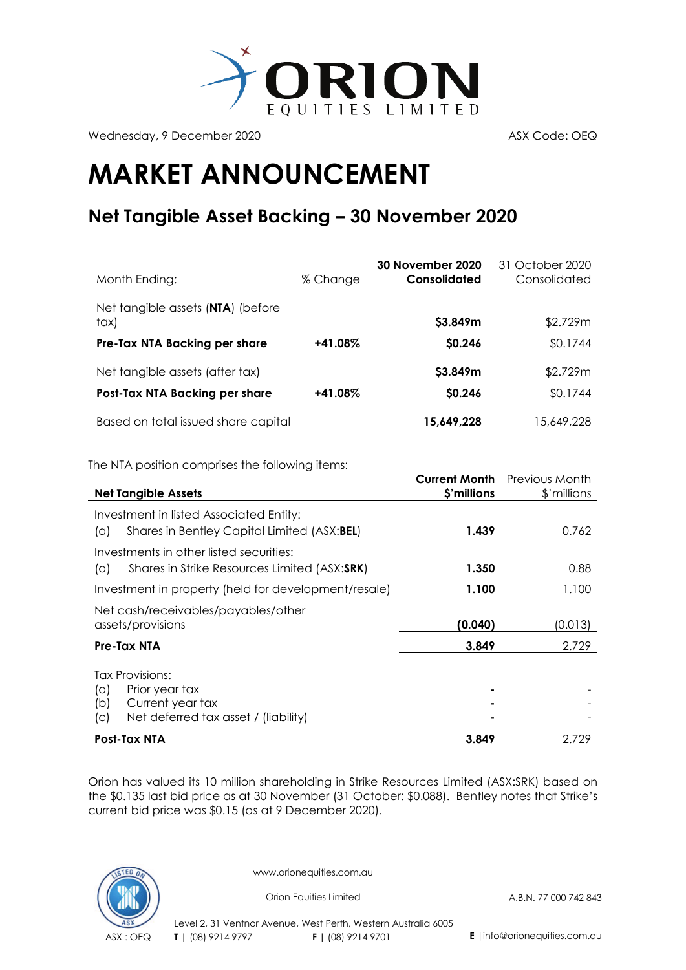

Wednesday, 9 December 2020 ASX Code: OEQ

## **MARKET ANNOUNCEMENT**

## **Net Tangible Asset Backing – 30 November 2020**

| Month Ending:                             | % Change | <b>30 November 2020</b><br>Consolidated | 31 October 2020<br>Consolidated |
|-------------------------------------------|----------|-----------------------------------------|---------------------------------|
| Net tangible assets (NTA) (before<br>tax) |          | \$3.849m                                | \$2.729m                        |
| Pre-Tax NTA Backing per share             | +41.08%  | \$0.246                                 | \$0.1744                        |
| Net tangible assets (after tax)           |          | \$3.849m                                | \$2.729m                        |
| Post-Tax NTA Backing per share            | +41.08%  | \$0.246                                 | \$0.1744                        |
| Based on total issued share capital       |          | 15,649,228                              | 15,649,228                      |

The NTA position comprises the following items:

|                                                                                               | <b>Current Month</b> | Previous Month |
|-----------------------------------------------------------------------------------------------|----------------------|----------------|
| <b>Net Tangible Assets</b>                                                                    | \$'millions          | \$'millions    |
| Investment in listed Associated Entity:<br>Shares in Bentley Capital Limited (ASX:BEL)<br>(a) | 1.439                | 0.762          |
| Investments in other listed securities:                                                       |                      |                |
| Shares in Strike Resources Limited (ASX:SRK)<br>(a)                                           | 1.350                | 0.88           |
| Investment in property (held for development/resale)                                          | 1.100                | 1.100          |
| Net cash/receivables/payables/other                                                           |                      |                |
| assets/provisions                                                                             | (0.040)              | (0.013)        |
| Pre-Tax NTA                                                                                   | 3.849                | 2.729          |
| Tax Provisions:                                                                               |                      |                |
| Prior year tax<br>$(\alpha)$                                                                  |                      |                |
| Current year tax<br>(b)                                                                       |                      |                |
| Net deferred tax asset / (liability)<br>(C)                                                   |                      |                |
| Post-Tax NTA                                                                                  | 3.849                | 2.729          |

Orion has valued its 10 million shareholding in [Strike Resources Limited](http://www.strikeresources.com.au/) (ASX[:SRK\)](http://www.asx.com.au/asx/share-price-research/company/SRK) based on the \$0.135 last bid price as at 30 November (31 October: \$0.088). Bentley notes that Strike's current bid price was \$0.15 (as at 9 December 2020).



www.orionequities.com.au

Orion Equities Limited A.B.N. 77 000 742 843

Level 2, 31 Ventnor Avenue, West Perth, Western Australia 6005 ASX : OEQ **T** | (08) 9214 9797 **F |** (08) 9214 9701 **E** |info@orionequities.com.au